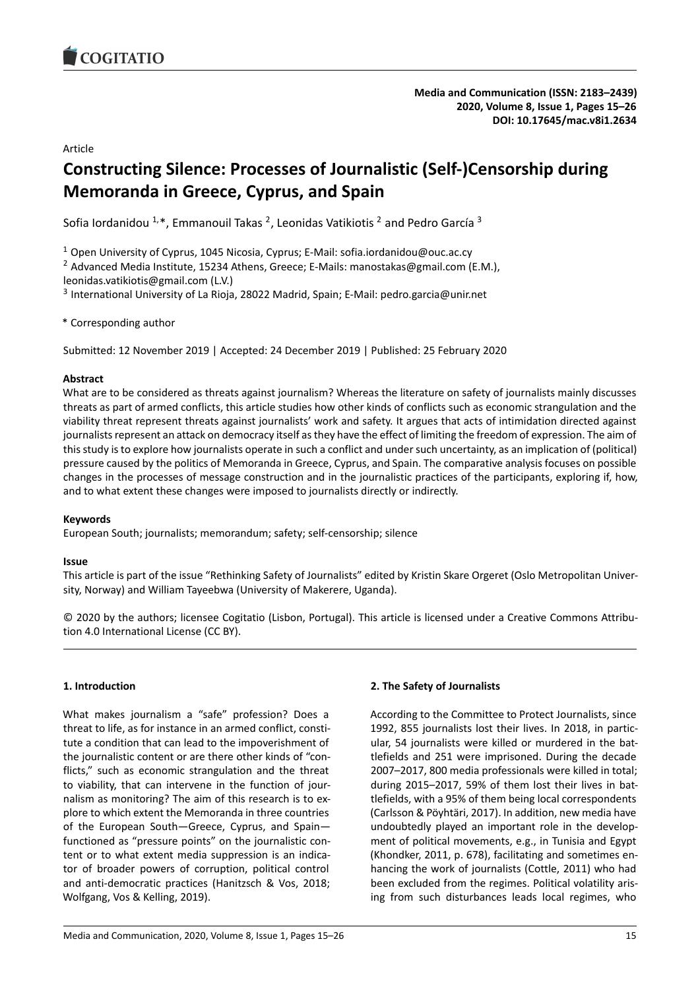<span id="page-0-0"></span>

Article

# **Constructing Silence: Processes of Journalistic (Self-)Censorship during Memoranda in Greece, Cyprus, and Spain**

Sofia Iordanidou <sup>1,\*</sup>, Emmanouil Takas <sup>2</sup>, Leonidas Vatikiotis <sup>2</sup> and Pedro García <sup>3</sup>

<sup>1</sup> Open University of Cyprus, 1045 Nicosia, Cyprus; E-Mail: sofia.iordanidou@ouc.ac.cy

<sup>2</sup> Advanced Media Institute, 15234 Athens, Greece; E-Mails: manostakas@gmail.com (E.M.), leonidas.vatikiotis@gmail.com (L.V.)

<sup>3</sup> International University of La Rioja, 28022 Madrid, Spain; E-Mail: pedro.garcia@unir.net

\* Corresponding author

Submitted: 12 November 2019 | Accepted: 24 December 2019 | Published: 25 February 2020

## **Abstract**

What are to be considered as threats against journalism? Whereas the literature on safety of journalists mainly discusses threats as part of armed conflicts, this article studies how other kinds of conflicts such as economic strangulation and the viability threat represent threats against journalists' work and safety. It argues that acts of intimidation directed against journalists represent an attack on democracy itself as they have the effect of limiting the freedom of expression. The aim of this study is to explore how journalists operate in such a conflict and under such uncertainty, as an implication of (political) pressure caused by the politics of Memoranda in Greece, Cyprus, and Spain. The comparative analysis focuses on possible changes in the processes of message construction and in the journalistic practices of the participants, exploring if, how, and to what extent these changes were imposed to journalists directly or indirectly.

#### **Keywords**

European South; journalists; memorandum; safety; self-censorship; silence

#### **Issue**

This article is part of the issue "Rethinking Safety of Journalists" edited by Kristin Skare Orgeret (Oslo Metropolitan University, Norway) and William Tayeebwa (University of Makerere, Uganda).

© 2020 by the authors; licensee Cogitatio (Lisbon, Portugal). This article is licensed under a Creative Commons Attribution 4.0 International License (CC BY).

# **1. Introduction**

What makes journalism a "safe" profession? Does a threat to life, as for instance in an armed conflict, constitute a condition that can lead to the impoverishment of the journalistic content or are there other kinds of "conflicts," such as economic strangulation and the threat to viability, that can intervene in the function of journalism as monitoring? The aim of this research is to explore to which extent the Memoranda in three countries of the European South—Greece, Cyprus, and Spain functioned as "pressure points" on the journalistic content or to what extent media suppression is an indicator of broader powers of corruption, political control and anti-democratic practices (Hanitzsch & Vos, 2018; Wolfgang, Vos & Kelling, 2019).

#### **2. The Safety of Journalists**

According to the Committee to Protect Journalists, since 1992, 855 journalists lost their lives. In 2018, in particular, 54 journalists were killed or murdered in the battlefields and 251 were imprisoned. During the decade 2007–2017, 800 media professionals were killed in total; during 2015–2017, 59% of them lost their lives in battlefields, with a 95% of them being local correspondents (Carlsson & Pöyhtäri, 2017). In addition, new media have undoubtedly played an important role in the development of political movements, e.g., in Tunisia and Egypt (Khondker, 2011, p. 678), facilitating and sometimes enhancing the work of journalists (Cottle, 2011) who had been excluded from the regimes. Political volatility arising from such disturbances leads local regimes, who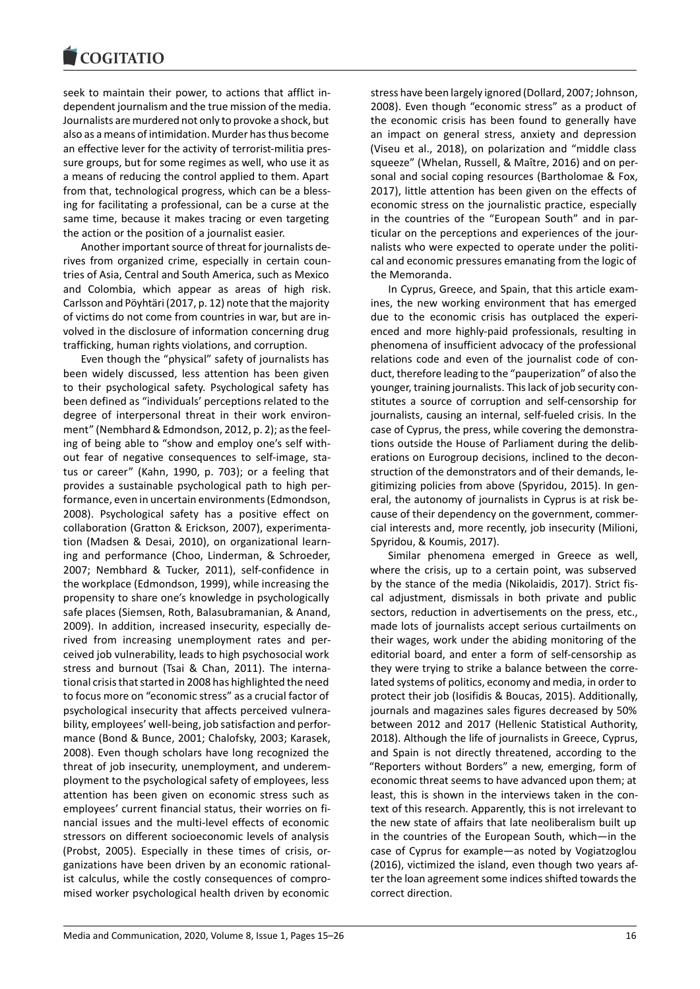seek to maintain their power, to actions that afflict independent journalism and the true mission of the media. Journalists are murdered not only to provoke a shock, but also as a means of intimidation. Murder has thus become an effective lever for the activity of terrorist-militia pressure groups, but for some regimes as well, who use it as a means of reducing the control applied to them. Apart from that, technological progress, which can be a blessing for facilitating a professional, can be a curse at the same time, because it makes tracing or even targeting the action or the position of a journalist easier.

Another important source of threat for journalists derives from organized crime, especially in certain countries of Asia, Central and South America, such as Mexico and Colombia, which appear as areas of high risk. Carlsson and Pöyhtäri (2017, p. 12) note that the majority of victims do not come from countries in war, but are involved in the disclosure of information concerning drug trafficking, human rights violations, and corruption.

Even though the "physical" safety of journalists has been widely discussed, less attention has been given to their psychological safety. Psychological safety has been defined as "individuals' perceptions related to the degree of interpersonal threat in their work environment" (Nembhard & Edmondson, 2012, p. 2); as the feeling of being able to "show and employ one's self without fear of negative consequences to self-image, status or career" (Kahn, 1990, p. 703); or a feeling that provides a sustainable psychological path to high performance, even in uncertain environments (Edmondson, 2008). Psychological safety has a positive effect on collaboration (Gratton & Erickson, 2007), experimentation (Madsen & Desai, 2010), on organizational learning and performance (Choo, Linderman, & Schroeder, 2007; Nembhard & Tucker, 2011), self-confidence in the workplace (Edmondson, 1999), while increasing the propensity to share one's knowledge in psychologically safe places (Siemsen, Roth, Balasubramanian, & Anand, 2009). In addition, increased insecurity, especially derived from increasing unemployment rates and perceived job vulnerability, leads to high psychosocial work stress and burnout (Tsai & Chan, 2011). The international crisis that started in 2008 has highlighted the need to focus more on "economic stress" as a crucial factor of psychological insecurity that affects perceived vulnerability, employees' well-being, job satisfaction and performance (Bond & Bunce, 2001; Chalofsky, 2003; Karasek, 2008). Even though scholars have long recognized the threat of job insecurity, unemployment, and underemployment to the psychological safety of employees, less attention has been given on economic stress such as employees' current financial status, their worries on financial issues and the multi-level effects of economic stressors on different socioeconomic levels of analysis (Probst, 2005). Especially in these times of crisis, organizations have been driven by an economic rationalist calculus, while the costly consequences of compromised worker psychological health driven by economic

stress have been largely ignored (Dollard, 2007; Johnson, 2008). Even though "economic stress" as a product of the economic crisis has been found to generally have an impact on general stress, anxiety and depression (Viseu et al., 2018), on polarization and "middle class squeeze" (Whelan, Russell, & Maître, 2016) and on personal and social coping resources (Bartholomae & Fox, 2017), little attention has been given on the effects of economic stress on the journalistic practice, especially in the countries of the "European South" and in particular on the perceptions and experiences of the journalists who were expected to operate under the political and economic pressures emanating from the logic of the Memoranda.

In Cyprus, Greece, and Spain, that this article examines, the new working environment that has emerged due to the economic crisis has outplaced the experienced and more highly-paid professionals, resulting in phenomena of insufficient advocacy of the professional relations code and even of the journalist code of conduct, therefore leading to the "pauperization" of also the younger, training journalists. This lack of job security constitutes a source of corruption and self-censorship for journalists, causing an internal, self-fueled crisis. In the case of Cyprus, the press, while covering the demonstrations outside the House of Parliament during the deliberations on Eurogroup decisions, inclined to the deconstruction of the demonstrators and of their demands, legitimizing policies from above (Spyridou, 2015). In general, the autonomy of journalists in Cyprus is at risk because of their dependency on the government, commercial interests and, more recently, job insecurity (Milioni, Spyridou, & Koumis, 2017).

Similar phenomena emerged in Greece as well, where the crisis, up to a certain point, was subserved by the stance of the media (Nikolaidis, 2017). Strict fiscal adjustment, dismissals in both private and public sectors, reduction in advertisements on the press, etc., made lots of journalists accept serious curtailments on their wages, work under the abiding monitoring of the editorial board, and enter a form of self-censorship as they were trying to strike a balance between the correlated systems of politics, economy and media, in order to protect their job (Iosifidis & Boucas, 2015). Additionally, journals and magazines sales figures decreased by 50% between 2012 and 2017 (Hellenic Statistical Authority, 2018). Although the life of journalists in Greece, Cyprus, and Spain is not directly threatened, according to the "Reporters without Borders" a new, emerging, form of economic threat seems to have advanced upon them; at least, this is shown in the interviews taken in the context of this research. Apparently, this is not irrelevant to the new state of affairs that late neoliberalism built up in the countries of the European South, which—in the case of Cyprus for example—as noted by Vogiatzoglou (2016), victimized the island, even though two years after the loan agreement some indices shifted towards the correct direction.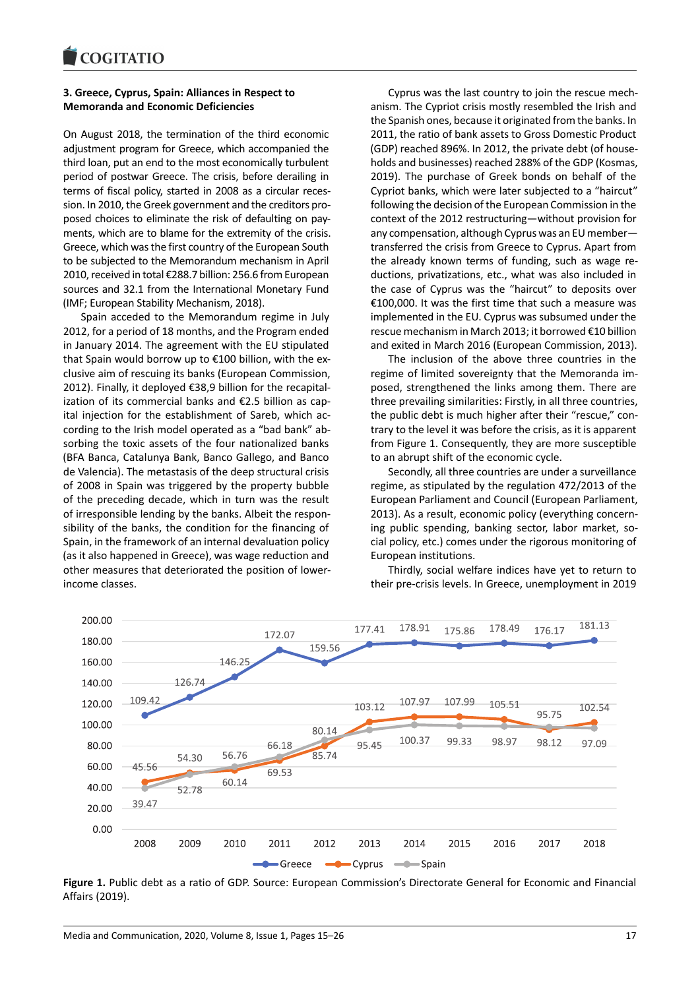# **3. Greece, Cyprus, Spain: Alliances in Respect to Memoranda and Economic Deficiencies**

On August 2018, the termination of the third economic adjustment program for Greece, which accompanied the third loan, put an end to the most economically turbulent period of postwar Greece. The crisis, before derailing in terms of fiscal policy, started in 2008 as a circular recession. In 2010, the Greek government and the creditors proposed choices to eliminate the risk of defaulting on payments, which are to blame for the extremity of the crisis. Greece, which was the first country of the European South to be subjected to the Memorandum mechanism in April 2010, received in total €288.7 billion: 256.6 from European sources and 32.1 from the International Monetary Fund (IMF; European Stability Mechanism, 2018).

Spain acceded to the Memorandum regime in July 2012, for a period of 18 months, and the Program ended in January 2014. The agreement with the EU stipulated that Spain would borrow up to €100 billion, with the exclusive aim of rescuing its banks (European Commission, 2012). Finally, it deployed €38,9 billion for the recapitalization of its commercial banks and €2.5 billion as capital injection for the establishment of Sareb, which according to the Irish model operated as a "bad bank" absorbing the toxic assets of the four nationalized banks (BFA Banca, Catalunya Bank, Banco Gallego, and Banco de Valencia). The metastasis of the deep structural crisis of 2008 in Spain was triggered by the property bubble of the preceding decade, which in turn was the result of irresponsible lending by the banks. Albeit the responsibility of the banks, the condition for the financing of Spain, in the framework of an internal devaluation policy (as it also happened in Greece), was wage reduction and other measures that deteriorated the position of lowerincome classes.

Cyprus was the last country to join the rescue mechanism. The Cypriot crisis mostly resembled the Irish and the Spanish ones, because it originated from the banks. In 2011, the ratio of bank assets to Gross Domestic Product (GDP) reached 896%. In 2012, the private debt (of households and businesses) reached 288% of the GDP (Kosmas, 2019). The purchase of Greek bonds on behalf of the Cypriot banks, which were later subjected to a "haircut" following the decision of the European Commission in the context of the 2012 restructuring—without provision for any compensation, although Cyprus was an EU member transferred the crisis from Greece to Cyprus. Apart from the already known terms of funding, such as wage reductions, privatizations, etc., what was also included in the case of Cyprus was the "haircut" to deposits over €100,000. It was the first time that such a measure was implemented in the EU. Cyprus was subsumed under the rescue mechanism in March 2013; it borrowed €10 billion and exited in March 2016 (European Commission, 2013).

The inclusion of the above three countries in the regime of limited sovereignty that the Memoranda imposed, strengthened the links among them. There are three prevailing similarities: Firstly, in all three countries, the public debt is much higher after their "rescue," contrary to the level it was before the crisis, as it is apparent from Figure 1. Consequently, they are more susceptible to an abrupt shift of the economic cycle.

Secondly, all three countries are under a surveillance regime, as stipulated by the regulation 472/2013 of the European Parliament and Council (European Parliament, 2013). As a result, economic policy (everything concerning public spending, banking sector, labor market, social policy, etc.) comes under the rigorous monitoring of European institutions.

Thirdly, social welfare indices have yet to return to their pre-crisis levels. In Greece, unemployment in 2019



**Figure 1.** Public debt as a ratio of GDP. Source: European Commission's Directorate General for Economic and Financial Affairs (2019).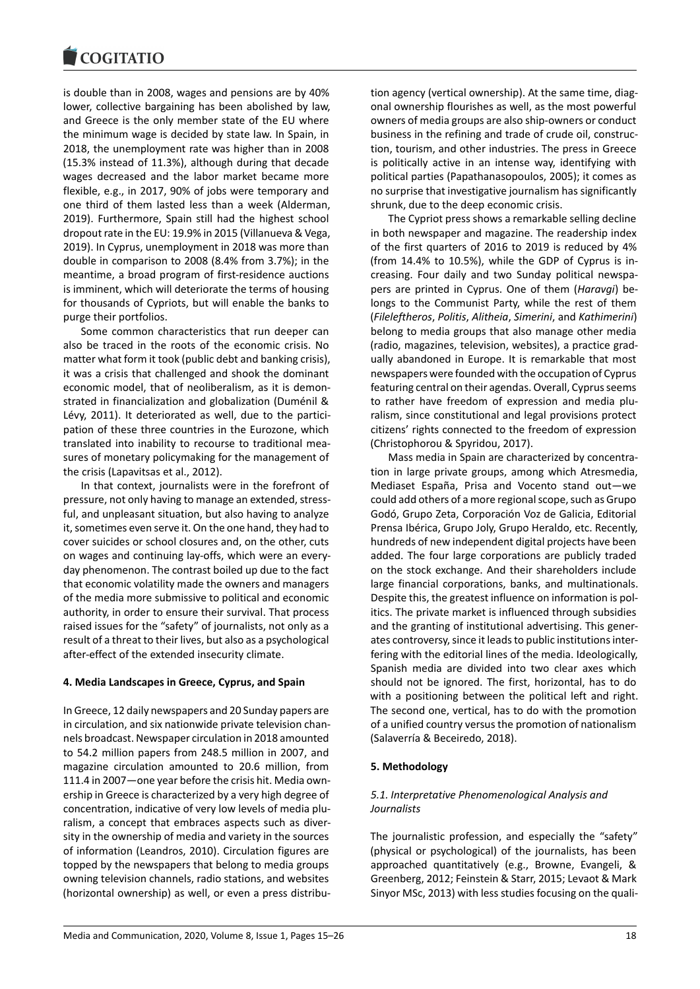

is double than in 2008, wages and pensions are by 40% lower, collective bargaining has been abolished by law, and Greece is the only member state of the EU where the minimum wage is decided by state law. In Spain, in 2018, the unemployment rate was higher than in 2008 (15.3% instead of 11.3%), although during that decade wages decreased and the labor market became more flexible, e.g., in 2017, 90% of jobs were temporary and one third of them lasted less than a week (Alderman, 2019). Furthermore, Spain still had the highest school dropout rate in the EU: 19.9% in 2015 (Villanueva & Vega, 2019). In Cyprus, unemployment in 2018 was more than double in comparison to 2008 (8.4% from 3.7%); in the meantime, a broad program of first-residence auctions is imminent, which will deteriorate the terms of housing for thousands of Cypriots, but will enable the banks to purge their portfolios.

Some common characteristics that run deeper can also be traced in the roots of the economic crisis. No matter what form it took (public debt and banking crisis), it was a crisis that challenged and shook the dominant economic model, that of neoliberalism, as it is demonstrated in financialization and globalization (Duménil & Lévy, 2011). It deteriorated as well, due to the participation of these three countries in the Eurozone, which translated into inability to recourse to traditional measures of monetary policymaking for the management of the crisis (Lapavitsas et al., 2012).

In that context, journalists were in the forefront of pressure, not only having to manage an extended, stressful, and unpleasant situation, but also having to analyze it, sometimes even serve it. On the one hand, they had to cover suicides or school closures and, on the other, cuts on wages and continuing lay-offs, which were an everyday phenomenon. The contrast boiled up due to the fact that economic volatility made the owners and managers of the media more submissive to political and economic authority, in order to ensure their survival. That process raised issues for the "safety" of journalists, not only as a result of a threat to their lives, but also as a psychological after-effect of the extended insecurity climate.

#### **4. Media Landscapes in Greece, Cyprus, and Spain**

In Greece, 12 daily newspapers and 20 Sunday papers are in circulation, and six nationwide private television channels broadcast. Newspaper circulation in 2018 amounted to 54.2 million papers from 248.5 million in 2007, and magazine circulation amounted to 20.6 million, from 111.4 in 2007―one year before the crisis hit. Media ownership in Greece is characterized by a very high degree of concentration, indicative of very low levels of media pluralism, a concept that embraces aspects such as diversity in the ownership of media and variety in the sources of information (Leandros, 2010). Circulation figures are topped by the newspapers that belong to media groups owning television channels, radio stations, and websites (horizontal ownership) as well, or even a press distribution agency (vertical ownership). At the same time, diagonal ownership flourishes as well, as the most powerful owners of media groups are also ship-owners or conduct business in the refining and trade of crude oil, construction, tourism, and other industries. The press in Greece is politically active in an intense way, identifying with political parties (Papathanasopoulos, 2005); it comes as no surprise that investigative journalism has significantly shrunk, due to the deep economic crisis.

The Cypriot press shows a remarkable selling decline in both newspaper and magazine. The readership index of the first quarters of 2016 to 2019 is reduced by 4% (from 14.4% to 10.5%), while the GDP of Cyprus is increasing. Four daily and two Sunday political newspapers are printed in Cyprus. One of them (*Haravgi*) belongs to the Communist Party, while the rest of them (*Fileleftheros*, *Politis*, *Alitheia*, *Simerini*, and *Kathimerini*) belong to media groups that also manage other media (radio, magazines, television, websites), a practice gradually abandoned in Europe. It is remarkable that most newspapers were founded with the occupation of Cyprus featuring central on their agendas. Overall, Cyprus seems to rather have freedom of expression and media pluralism, since constitutional and legal provisions protect citizens' rights connected to the freedom of expression (Christophorou & Spyridou, 2017).

Mass media in Spain are characterized by concentration in large private groups, among which Atresmedia, Mediaset España, Prisa and Vocento stand out—we could add others of a more regional scope, such as Grupo Godó, Grupo Zeta, Corporación Voz de Galicia, Editorial Prensa Ibérica, Grupo Joly, Grupo Heraldo, etc. Recently, hundreds of new independent digital projects have been added. The four large corporations are publicly traded on the stock exchange. And their shareholders include large financial corporations, banks, and multinationals. Despite this, the greatest influence on information is politics. The private market is influenced through subsidies and the granting of institutional advertising. This generates controversy, since it leads to public institutions interfering with the editorial lines of the media. Ideologically, Spanish media are divided into two clear axes which should not be ignored. The first, horizontal, has to do with a positioning between the political left and right. The second one, vertical, has to do with the promotion of a unified country versus the promotion of nationalism (Salaverría & Beceiredo, 2018).

#### **5. Methodology**

# *5.1. Interpretative Phenomenological Analysis and Journalists*

The journalistic profession, and especially the "safety" (physical or psychological) of the journalists, has been approached quantitatively (e.g., Browne, Evangeli, & Greenberg, 2012; Feinstein & Starr, 2015; Levaot & Mark Sinyor MSc, 2013) with less studies focusing on the quali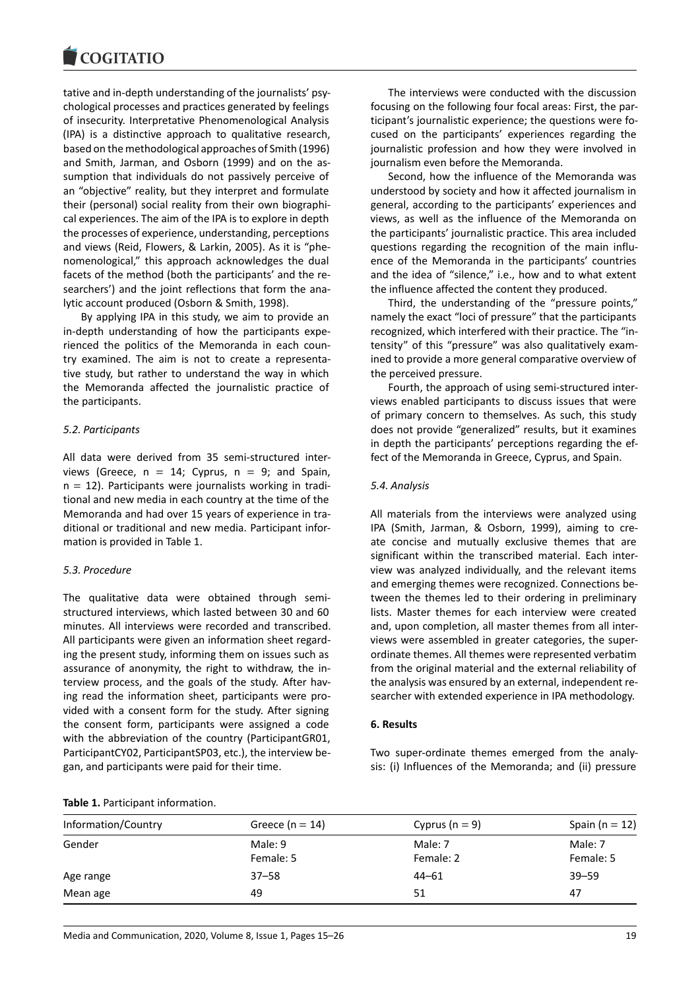tative and in-depth understanding of the journalists' psychological processes and practices generated by feelings of insecurity. Interpretative Phenomenological Analysis (IPA) is a distinctive approach to qualitative research, based on the methodological approaches of Smith (1996) and Smith, Jarman, and Osborn (1999) and on the assumption that individuals do not passively perceive of an "objective" reality, but they interpret and formulate their (personal) social reality from their own biographical experiences. The aim of the IPA is to explore in depth the processes of experience, understanding, perceptions and views (Reid, Flowers, & Larkin, 2005). As it is "phenomenological," this approach acknowledges the dual facets of the method (both the participants' and the researchers') and the joint reflections that form the analytic account produced (Osborn & Smith, 1998).

By applying IPA in this study, we aim to provide an in-depth understanding of how the participants experienced the politics of the Memoranda in each country examined. The aim is not to create a representative study, but rather to understand the way in which the Memoranda affected the journalistic practice of the participants.

## *5.2. Participants*

All data were derived from 35 semi-structured interviews (Greece,  $n = 14$ ; Cyprus,  $n = 9$ ; and Spain,  $n = 12$ ). Participants were journalists working in traditional and new media in each country at the time of the Memoranda and had over 15 years of experience in traditional or traditional and new media. Participant information is provided in Table 1.

#### *5.3. Procedure*

The qualitative data were obtained through semistructured interviews, which lasted between 30 and 60 minutes. All interviews were recorded and transcribed. All participants were given an information sheet regarding the present study, informing them on issues such as assurance of anonymity, the right to withdraw, the interview process, and the goals of the study. After having read the information sheet, participants were provided with a consent form for the study. After signing the consent form, participants were assigned a code with the abbreviation of the country (ParticipantGR01, ParticipantCY02, ParticipantSP03, etc.), the interview began, and participants were paid for their time.

The interviews were conducted with the discussion focusing on the following four focal areas: First, the participant's journalistic experience; the questions were focused on the participants' experiences regarding the journalistic profession and how they were involved in journalism even before the Memoranda.

Second, how the influence of the Memoranda was understood by society and how it affected journalism in general, according to the participants' experiences and views, as well as the influence of the Memoranda on the participants' journalistic practice. This area included questions regarding the recognition of the main influence of the Memoranda in the participants' countries and the idea of "silence," i.e., how and to what extent the influence affected the content they produced.

Third, the understanding of the "pressure points," namely the exact "loci of pressure" that the participants recognized, which interfered with their practice. The "intensity" of this "pressure" was also qualitatively examined to provide a more general comparative overview of the perceived pressure.

Fourth, the approach of using semi-structured interviews enabled participants to discuss issues that were of primary concern to themselves. As such, this study does not provide "generalized" results, but it examines in depth the participants' perceptions regarding the effect of the Memoranda in Greece, Cyprus, and Spain.

#### *5.4. Analysis*

All materials from the interviews were analyzed using IPA (Smith, Jarman, & Osborn, 1999), aiming to create concise and mutually exclusive themes that are significant within the transcribed material. Each interview was analyzed individually, and the relevant items and emerging themes were recognized. Connections between the themes led to their ordering in preliminary lists. Master themes for each interview were created and, upon completion, all master themes from all interviews were assembled in greater categories, the superordinate themes. All themes were represented verbatim from the original material and the external reliability of the analysis was ensured by an external, independent researcher with extended experience in IPA methodology.

#### **6. Results**

Two super-ordinate themes emerged from the analysis: (i) Influences of the Memoranda; and (ii) pressure

#### **Table 1.** Participant information.

| Information/Country | Greece ( $n = 14$ )  | Cyprus ( $n = 9$ )   | Spain ( $n = 12$ )   |
|---------------------|----------------------|----------------------|----------------------|
| Gender              | Male: 9<br>Female: 5 | Male: 7<br>Female: 2 | Male: 7<br>Female: 5 |
| Age range           | $37 - 58$            | $44 - 61$            | $39 - 59$            |
| Mean age            | 49                   | 51                   | 47                   |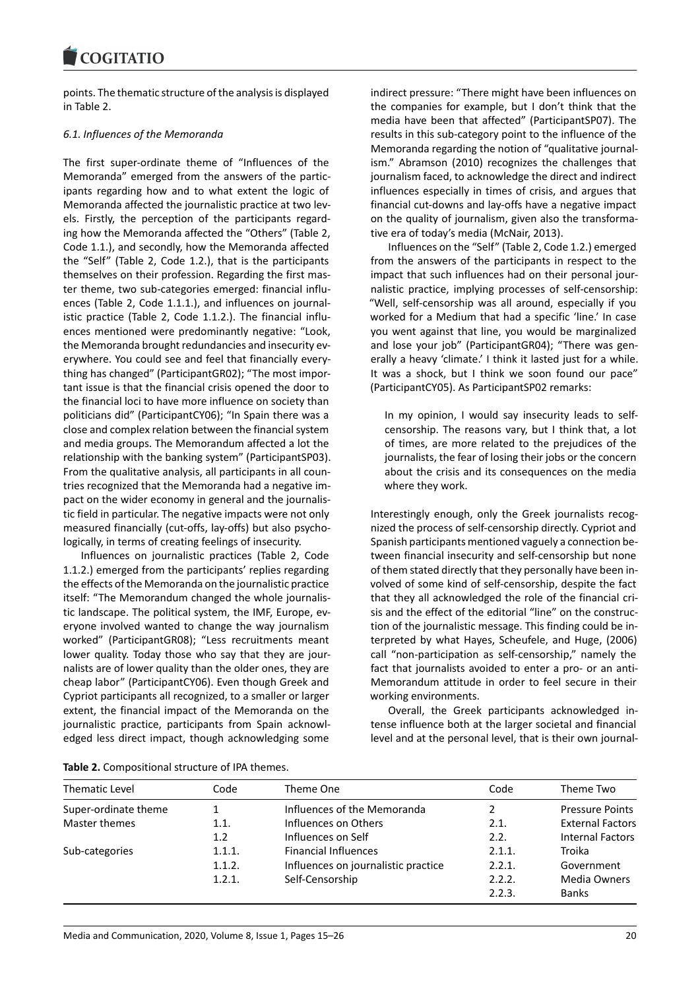points. The thematic structure of the analysis is displayed in Table 2.

# *6.1. Influences of the Memoranda*

The first super-ordinate theme of "Influences of the Memoranda" emerged from the answers of the participants regarding how and to what extent the logic of Memoranda affected the journalistic practice at two levels. Firstly, the perception of the participants regarding how the Memoranda affected the "Others" (Table 2, Code 1.1.), and secondly, how the Memoranda affected the "Self" (Table 2, Code 1.2.), that is the participants themselves on their profession. Regarding the first master theme, two sub-categories emerged: financial influences (Table 2, Code 1.1.1.), and influences on journalistic practice (Table 2, Code 1.1.2.). The financial influences mentioned were predominantly negative: "Look, the Memoranda brought redundancies and insecurity everywhere. You could see and feel that financially everything has changed" (ParticipantGR02); "The most important issue is that the financial crisis opened the door to the financial loci to have more influence on society than politicians did" (ParticipantCY06); "In Spain there was a close and complex relation between the financial system and media groups. The Memorandum affected a lot the relationship with the banking system" (ParticipantSP03). From the qualitative analysis, all participants in all countries recognized that the Memoranda had a negative impact on the wider economy in general and the journalistic field in particular. The negative impacts were not only measured financially (cut-offs, lay-offs) but also psychologically, in terms of creating feelings of insecurity.

Influences on journalistic practices (Table 2, Code 1.1.2.) emerged from the participants' replies regarding the effects of the Memoranda on the journalistic practice itself: "The Memorandum changed the whole journalistic landscape. The political system, the IMF, Europe, everyone involved wanted to change the way journalism worked" (ParticipantGR08); "Less recruitments meant lower quality. Today those who say that they are journalists are of lower quality than the older ones, they are cheap labor" (ParticipantCY06). Even though Greek and Cypriot participants all recognized, to a smaller or larger extent, the financial impact of the Memoranda on the journalistic practice, participants from Spain acknowledged less direct impact, though acknowledging some

indirect pressure: "There might have been influences on the companies for example, but I don't think that the media have been that affected" (ParticipantSP07). The results in this sub-category point to the influence of the Memoranda regarding the notion of "qualitative journalism." Abramson (2010) recognizes the challenges that journalism faced, to acknowledge the direct and indirect influences especially in times of crisis, and argues that financial cut-downs and lay-offs have a negative impact on the quality of journalism, given also the transformative era of today's media (McNair, 2013).

Influences on the "Self" (Table 2, Code 1.2.) emerged from the answers of the participants in respect to the impact that such influences had on their personal journalistic practice, implying processes of self-censorship: "Well, self-censorship was all around, especially if you worked for a Medium that had a specific 'line.' In case you went against that line, you would be marginalized and lose your job" (ParticipantGR04); "There was generally a heavy 'climate.' I think it lasted just for a while. It was a shock, but I think we soon found our pace" (ParticipantCY05). As ParticipantSP02 remarks:

In my opinion, I would say insecurity leads to selfcensorship. The reasons vary, but I think that, a lot of times, are more related to the prejudices of the journalists, the fear of losing their jobs or the concern about the crisis and its consequences on the media where they work.

Interestingly enough, only the Greek journalists recognized the process of self-censorship directly. Cypriot and Spanish participants mentioned vaguely a connection between financial insecurity and self-censorship but none of them stated directly that they personally have been involved of some kind of self-censorship, despite the fact that they all acknowledged the role of the financial crisis and the effect of the editorial "line" on the construction of the journalistic message. This finding could be interpreted by what Hayes, Scheufele, and Huge, (2006) call "non-participation as self-censorship," namely the fact that journalists avoided to enter a pro- or an anti-Memorandum attitude in order to feel secure in their working environments.

Overall, the Greek participants acknowledged intense influence both at the larger societal and financial level and at the personal level, that is their own journal-

| Thematic Level       | Code   | Theme One                           | Code   | Theme Two               |
|----------------------|--------|-------------------------------------|--------|-------------------------|
| Super-ordinate theme |        | Influences of the Memoranda         | 2      | <b>Pressure Points</b>  |
| Master themes        | 1.1.   | Influences on Others                | 2.1.   | <b>External Factors</b> |
|                      | 1.2    | Influences on Self                  | 2.2.   | <b>Internal Factors</b> |
| Sub-categories       | 1.1.1. | <b>Financial Influences</b>         | 2.1.1. | Troika                  |
|                      | 1.1.2. | Influences on journalistic practice | 2.2.1. | Government              |
|                      | 1.2.1. | Self-Censorship                     | 2.2.2. | Media Owners            |
|                      |        |                                     | 2.2.3. | <b>Banks</b>            |

**Table 2.** Compositional structure of IPA themes.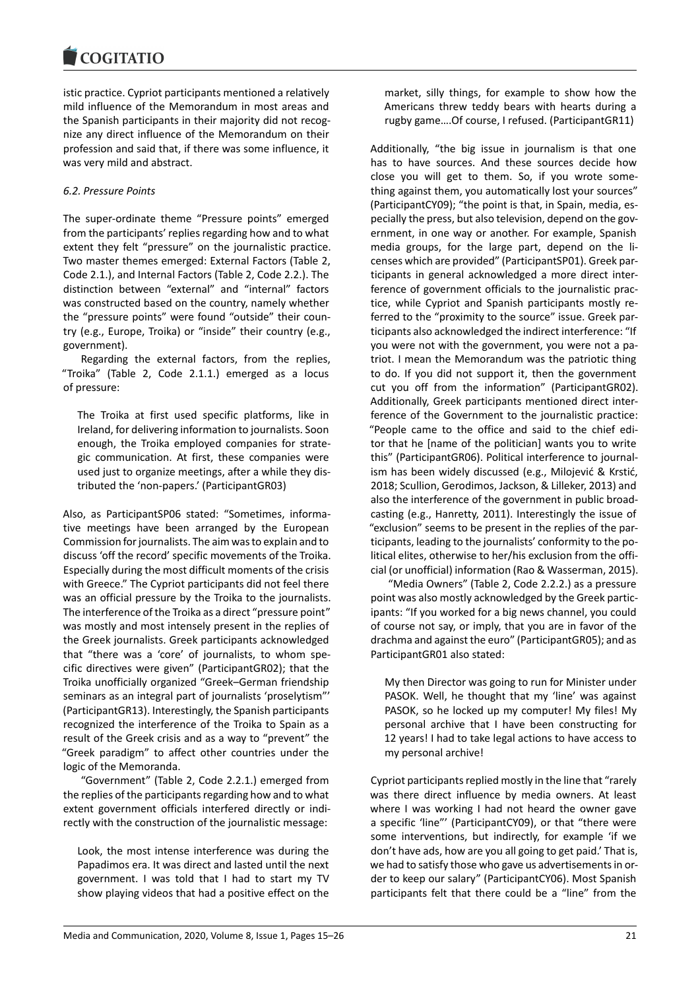istic practice. Cypriot participants mentioned a relatively mild influence of the Memorandum in most areas and the Spanish participants in their majority did not recognize any direct influence of the Memorandum on their profession and said that, if there was some influence, it was very mild and abstract.

# *6.2. Pressure Points*

The super-ordinate theme "Pressure points" emerged from the participants' replies regarding how and to what extent they felt "pressure" on the journalistic practice. Two master themes emerged: External Factors (Table 2, Code 2.1.), and Internal Factors (Table 2, Code 2.2.). The distinction between "external" and "internal" factors was constructed based on the country, namely whether the "pressure points" were found "outside" their country (e.g., Europe, Troika) or "inside" their country (e.g., government).

Regarding the external factors, from the replies, "Troika" (Table 2, Code 2.1.1.) emerged as a locus of pressure:

The Troika at first used specific platforms, like in Ireland, for delivering information to journalists. Soon enough, the Troika employed companies for strategic communication. At first, these companies were used just to organize meetings, after a while they distributed the 'non-papers.' (ParticipantGR03)

Also, as ParticipantSP06 stated: "Sometimes, informative meetings have been arranged by the European Commission for journalists. The aim was to explain and to discuss 'off the record' specific movements of the Troika. Especially during the most difficult moments of the crisis with Greece." The Cypriot participants did not feel there was an official pressure by the Troika to the journalists. The interference of the Troika as a direct "pressure point" was mostly and most intensely present in the replies of the Greek journalists. Greek participants acknowledged that "there was a 'core' of journalists, to whom specific directives were given" (ParticipantGR02); that the Troika unofficially organized "Greek–German friendship seminars as an integral part of journalists 'proselytism"' (ParticipantGR13). Interestingly, the Spanish participants recognized the interference of the Troika to Spain as a result of the Greek crisis and as a way to "prevent" the "Greek paradigm" to affect other countries under the logic of the Memoranda.

"Government" (Table 2, Code 2.2.1.) emerged from the replies of the participants regarding how and to what extent government officials interfered directly or indirectly with the construction of the journalistic message:

Look, the most intense interference was during the Papadimos era. It was direct and lasted until the next government. I was told that I had to start my TV show playing videos that had a positive effect on the

market, silly things, for example to show how the Americans threw teddy bears with hearts during a rugby game….Of course, I refused. (ParticipantGR11)

Additionally, "the big issue in journalism is that one has to have sources. And these sources decide how close you will get to them. So, if you wrote something against them, you automatically lost your sources" (ParticipantCY09); "the point is that, in Spain, media, especially the press, but also television, depend on the government, in one way or another. For example, Spanish media groups, for the large part, depend on the licenses which are provided" (ParticipantSP01). Greek participants in general acknowledged a more direct interference of government officials to the journalistic practice, while Cypriot and Spanish participants mostly referred to the "proximity to the source" issue. Greek participants also acknowledged the indirect interference: "If you were not with the government, you were not a patriot. I mean the Memorandum was the patriotic thing to do. If you did not support it, then the government cut you off from the information" (ParticipantGR02). Additionally, Greek participants mentioned direct interference of the Government to the journalistic practice: "People came to the office and said to the chief editor that he [name of the politician] wants you to write this" (ParticipantGR06). Political interference to journalism has been widely discussed (e.g., Milojević & Krstić, 2018; Scullion, Gerodimos, Jackson, & Lilleker, 2013) and also the interference of the government in public broadcasting (e.g., Hanretty, 2011). Interestingly the issue of "exclusion" seems to be present in the replies of the participants, leading to the journalists' conformity to the political elites, otherwise to her/his exclusion from the official (or unofficial) information (Rao & Wasserman, 2015).

"Media Owners" (Table 2, Code 2.2.2.) as a pressure point was also mostly acknowledged by the Greek participants: "If you worked for a big news channel, you could of course not say, or imply, that you are in favor of the drachma and against the euro" (ParticipantGR05); and as ParticipantGR01 also stated:

My then Director was going to run for Minister under PASOK. Well, he thought that my 'line' was against PASOK, so he locked up my computer! My files! My personal archive that I have been constructing for 12 years! I had to take legal actions to have access to my personal archive!

Cypriot participants replied mostly in the line that "rarely was there direct influence by media owners. At least where I was working I had not heard the owner gave a specific 'line"' (ParticipantCY09), or that "there were some interventions, but indirectly, for example 'if we don't have ads, how are you all going to get paid.' That is, we had to satisfy those who gave us advertisements in order to keep our salary" (ParticipantCY06). Most Spanish participants felt that there could be a "line" from the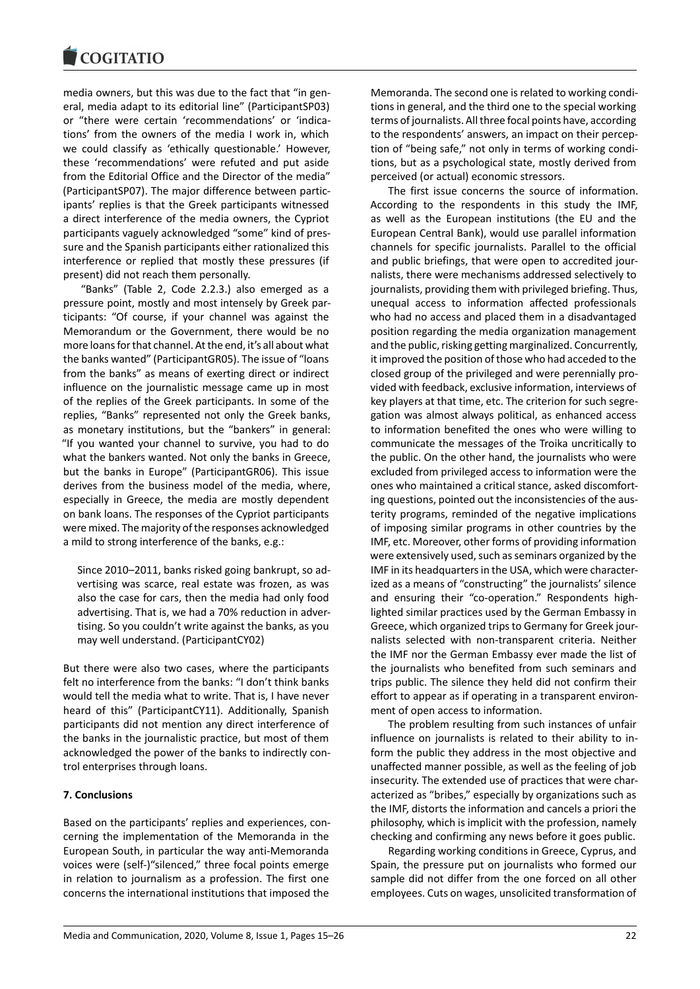

media owners, but this was due to the fact that "in general, media adapt to its editorial line" (ParticipantSP03) or "there were certain 'recommendations' or 'indications' from the owners of the media I work in, which we could classify as 'ethically questionable.' However, these 'recommendations' were refuted and put aside from the Editorial Office and the Director of the media" (ParticipantSP07). The major difference between participants' replies is that the Greek participants witnessed a direct interference of the media owners, the Cypriot participants vaguely acknowledged "some" kind of pressure and the Spanish participants either rationalized this interference or replied that mostly these pressures (if present) did not reach them personally.

"Banks" (Table 2, Code 2.2.3.) also emerged as a pressure point, mostly and most intensely by Greek participants: "Of course, if your channel was against the Memorandum or the Government, there would be no more loans for that channel. At the end, it's all about what the banks wanted" (ParticipantGR05). The issue of "loans from the banks" as means of exerting direct or indirect influence on the journalistic message came up in most of the replies of the Greek participants. In some of the replies, "Banks" represented not only the Greek banks, as monetary institutions, but the "bankers" in general: "If you wanted your channel to survive, you had to do what the bankers wanted. Not only the banks in Greece, but the banks in Europe" (ParticipantGR06). This issue derives from the business model of the media, where, especially in Greece, the media are mostly dependent on bank loans. The responses of the Cypriot participants were mixed. The majority of the responses acknowledged a mild to strong interference of the banks, e.g.:

Since 2010–2011, banks risked going bankrupt, so advertising was scarce, real estate was frozen, as was also the case for cars, then the media had only food advertising. That is, we had a 70% reduction in advertising. So you couldn't write against the banks, as you may well understand. (ParticipantCY02)

But there were also two cases, where the participants felt no interference from the banks: "I don't think banks would tell the media what to write. That is, I have never heard of this" (ParticipantCY11). Additionally, Spanish participants did not mention any direct interference of the banks in the journalistic practice, but most of them acknowledged the power of the banks to indirectly control enterprises through loans.

## **7. Conclusions**

Based on the participants' replies and experiences, concerning the implementation of the Memoranda in the European South, in particular the way anti-Memoranda voices were (self-)"silenced," three focal points emerge in relation to journalism as a profession. The first one concerns the international institutions that imposed the

Memoranda. The second one is related to working conditions in general, and the third one to the special working terms of journalists. All three focal points have, according to the respondents' answers, an impact on their perception of "being safe," not only in terms of working conditions, but as a psychological state, mostly derived from perceived (or actual) economic stressors.

The first issue concerns the source of information. According to the respondents in this study the IMF, as well as the European institutions (the EU and the European Central Bank), would use parallel information channels for specific journalists. Parallel to the official and public briefings, that were open to accredited journalists, there were mechanisms addressed selectively to journalists, providing them with privileged briefing. Thus, unequal access to information affected professionals who had no access and placed them in a disadvantaged position regarding the media organization management and the public, risking getting marginalized. Concurrently, it improved the position of those who had acceded to the closed group of the privileged and were perennially provided with feedback, exclusive information, interviews of key players at that time, etc. The criterion for such segregation was almost always political, as enhanced access to information benefited the ones who were willing to communicate the messages of the Troika uncritically to the public. On the other hand, the journalists who were excluded from privileged access to information were the ones who maintained a critical stance, asked discomforting questions, pointed out the inconsistencies of the austerity programs, reminded of the negative implications of imposing similar programs in other countries by the IMF, etc. Moreover, other forms of providing information were extensively used, such as seminars organized by the IMF in its headquarters in the USA, which were characterized as a means of "constructing" the journalists' silence and ensuring their "co-operation." Respondents highlighted similar practices used by the German Embassy in Greece, which organized trips to Germany for Greek journalists selected with non-transparent criteria. Neither the IMF nor the German Embassy ever made the list of the journalists who benefited from such seminars and trips public. The silence they held did not confirm their effort to appear as if operating in a transparent environment of open access to information.

The problem resulting from such instances of unfair influence on journalists is related to their ability to inform the public they address in the most objective and unaffected manner possible, as well as the feeling of job insecurity. The extended use of practices that were characterized as "bribes," especially by organizations such as the IMF, distorts the information and cancels a priori the philosophy, which is implicit with the profession, namely checking and confirming any news before it goes public.

Regarding working conditions in Greece, Cyprus, and Spain, the pressure put on journalists who formed our sample did not differ from the one forced on all other employees. Cuts on wages, unsolicited transformation of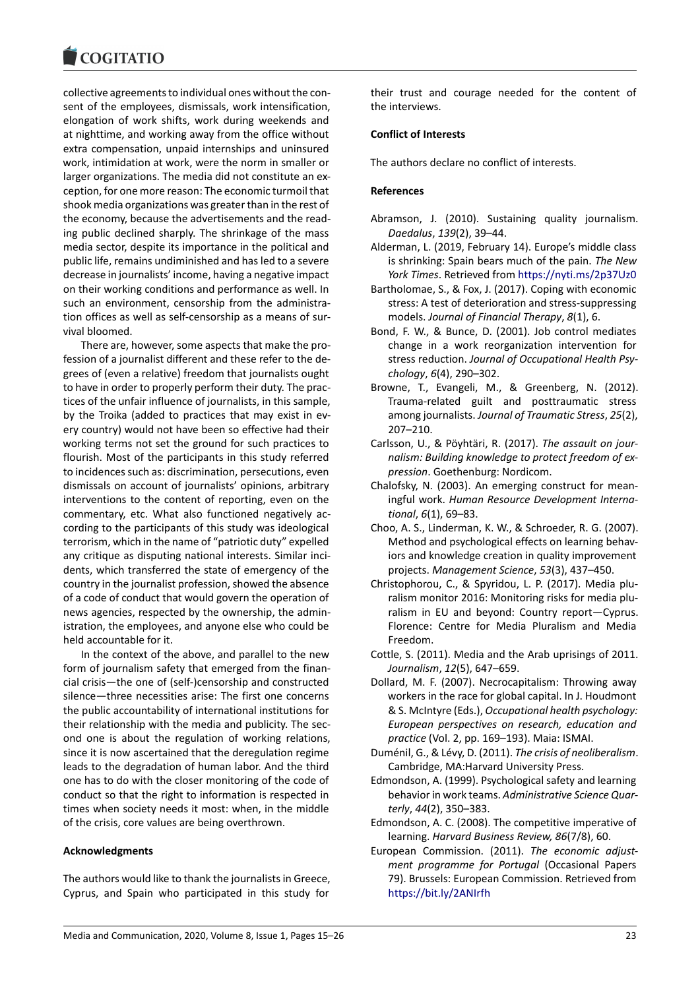# **COGITATIO**

collective agreements to individual ones without the consent of the employees, dismissals, work intensification, elongation of work shifts, work during weekends and at nighttime, and working away from the office without extra compensation, unpaid internships and uninsured work, intimidation at work, were the norm in smaller or larger organizations. The media did not constitute an exception, for one more reason: The economic turmoil that shook media organizations was greater than in the rest of the economy, because the advertisements and the reading public declined sharply. The shrinkage of the mass media sector, despite its importance in the political and public life, remains undiminished and has led to a severe decrease in journalists' income, having a negative impact on their working conditions and performance as well. In such an environment, censorship from the administration offices as well as self-censorship as a means of survival bloomed.

There are, however, some aspects that make the profession of a journalist different and these refer to the degrees of (even a relative) freedom that journalists ought to have in order to properly perform their duty. The practices of the unfair influence of journalists, in this sample, by the Troika (added to practices that may exist in every country) would not have been so effective had their working terms not set the ground for such practices to flourish. Most of the participants in this study referred to incidences such as: discrimination, persecutions, even dismissals on account of journalists' opinions, arbitrary interventions to the content of reporting, even on the commentary, etc. What also functioned negatively according to the participants of this study was ideological terrorism, which in the name of "patriotic duty" expelled any critique as disputing national interests. Similar incidents, which transferred the state of emergency of the country in the journalist profession, showed the absence of a code of conduct that would govern the operation of news agencies, respected by the ownership, the administration, the employees, and anyone else who could be held accountable for it.

In the context of the above, and parallel to the new form of journalism safety that emerged from the financial crisis—the one of (self-)censorship and constructed silence—three necessities arise: The first one concerns the public accountability of international institutions for their relationship with the media and publicity. The second one is about the regulation of working relations, since it is now ascertained that the deregulation regime leads to the degradation of human labor. And the third one has to do with the closer monitoring of the code of conduct so that the right to information is respected in times when society needs it most: when, in the middle of the crisis, core values are being overthrown.

# **Acknowledgments**

The authors would like to thank the journalists in Greece, Cyprus, and Spain who participated in this study for

their trust and courage needed for the content of the interviews.

#### **Conflict of Interests**

The authors declare no conflict of interests.

#### **References**

- Abramson, J. (2010). Sustaining quality journalism. *Daedalus*, *139*(2), 39–44.
- Alderman, L. (2019, February 14). Europe's middle class is shrinking: Spain bears much of the pain. *The New York Times*. Retrieved from <https://nyti.ms/2p37Uz0>
- Bartholomae, S., & Fox, J. (2017). Coping with economic stress: A test of deterioration and stress-suppressing models. *Journal of Financial Therapy*, *8*(1), 6.
- Bond, F. W., & Bunce, D. (2001). Job control mediates change in a work reorganization intervention for stress reduction. *Journal of Occupational Health Psychology*, *6*(4), 290–302.
- Browne, T., Evangeli, M., & Greenberg, N. (2012). Trauma-related guilt and posttraumatic stress among journalists. *Journal of Traumatic Stress*, *25*(2), 207–210.
- Carlsson, U., & Pöyhtäri, R. (2017). *The assault on journalism: Building knowledge to protect freedom of expression*. Goethenburg: Nordicom.
- Chalofsky, N. (2003). An emerging construct for meaningful work. *Human Resource Development International*, *6*(1), 69–83.
- Choo, A. S., Linderman, K. W., & Schroeder, R. G. (2007). Method and psychological effects on learning behaviors and knowledge creation in quality improvement projects. *Management Science*, *53*(3), 437–450.
- Christophorou, C., & Spyridou, L. P. (2017). Media pluralism monitor 2016: Monitoring risks for media pluralism in EU and beyond: Country report—Cyprus. Florence: Centre for Media Pluralism and Media Freedom.
- Cottle, S. (2011). Media and the Arab uprisings of 2011. *Journalism*, *12*(5), 647–659.
- Dollard, M. F. (2007). Necrocapitalism: Throwing away workers in the race for global capital. In J. Houdmont & S. McIntyre (Eds.), *Occupational health psychology: European perspectives on research, education and practice* (Vol. 2, pp. 169–193). Maia: ISMAI.
- Duménil, G., & Lévy, D. (2011). *The crisis of neoliberalism*. Cambridge, MA:Harvard University Press.
- Edmondson, A. (1999). Psychological safety and learning behavior in work teams. *Administrative Science Quarterly*, *44*(2), 350–383.
- Edmondson, A. C. (2008). The competitive imperative of learning. *Harvard Business Review, 86*(7/8), 60.
- European Commission. (2011). *The economic adjustment programme for Portugal* (Occasional Papers 79). Brussels: European Commission. Retrieved from <https://bit.ly/2ANIrfh>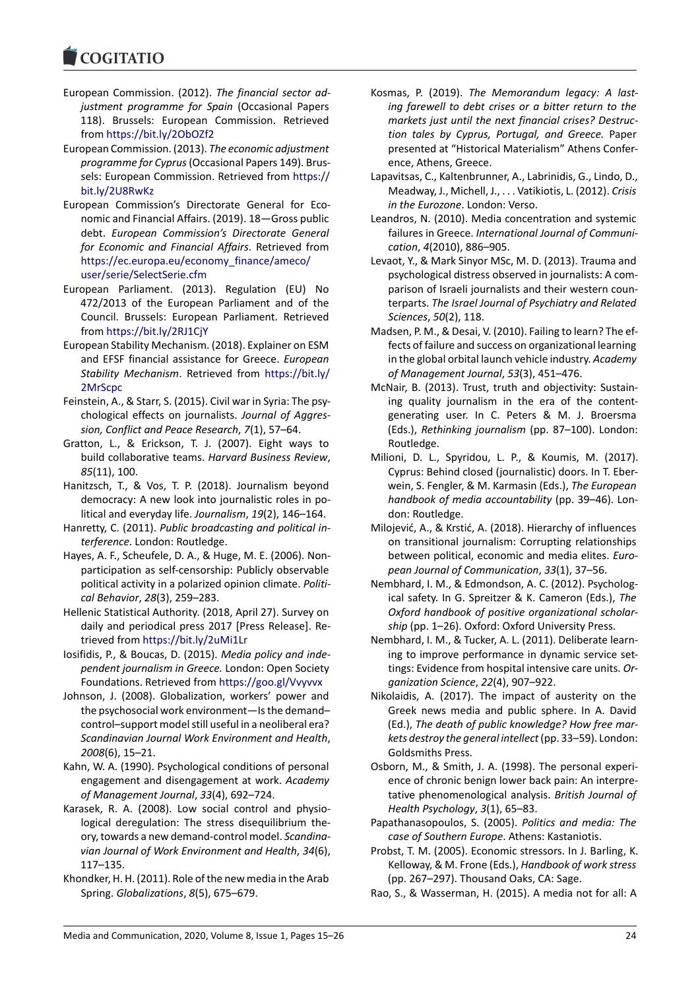- European Commission. (2012). *The financial sector adjustment programme for Spain* (Occasional Papers 118). Brussels: European Commission. Retrieved from <https://bit.ly/2ObOZf2>
- European Commission. (2013). *The economic adjustment programme for Cyprus*(Occasional Papers 149). Brussels: European Commission. Retrieved from [https://](https://bit.ly/2U8RwKz) [bit.ly/2U8RwKz](https://bit.ly/2U8RwKz)
- European Commission's Directorate General for Economic and Financial Affairs. (2019). 18—Gross public debt. *European Commission's Directorate General for Economic and Financial Affairs*. Retrieved from [https://ec.europa.eu/economy\\_finance/ameco/](https://ec.europa.eu/economy_finance/ameco/user/serie/SelectSerie.cfm) [user/serie/SelectSerie.cfm](https://ec.europa.eu/economy_finance/ameco/user/serie/SelectSerie.cfm)
- European Parliament. (2013). Regulation (EU) No 472/2013 of the European Parliament and of the Council. Brussels: European Parliament. Retrieved from <https://bit.ly/2RJ1CjY>
- European Stability Mechanism. (2018). Explainer on ESM and EFSF financial assistance for Greece. *European Stability Mechanism*. Retrieved from [https://bit.ly/](https://bit.ly/2MrScpc) [2MrScpc](https://bit.ly/2MrScpc)
- Feinstein, A., & Starr, S. (2015). Civil war in Syria: The psychological effects on journalists. *Journal of Aggression, Conflict and Peace Research*, *7*(1), 57–64.
- Gratton, L., & Erickson, T. J. (2007). Eight ways to build collaborative teams. *Harvard Business Review*, *85*(11), 100.
- Hanitzsch, T., & Vos, T. P. (2018). Journalism beyond democracy: A new look into journalistic roles in political and everyday life. *Journalism*, *19*(2), 146–164.
- Hanretty, C. (2011). *Public broadcasting and political interference*. London: Routledge.
- Hayes, A. F., Scheufele, D. A., & Huge, M. E. (2006). Nonparticipation as self-censorship: Publicly observable political activity in a polarized opinion climate. *Political Behavior*, *28*(3), 259–283.
- Hellenic Statistical Authority. (2018, April 27). Survey on daily and periodical press 2017 [Press Release]. Retrieved from <https://bit.ly/2uMi1Lr>
- Iosifidis, P., & Boucas, D. (2015). *Media policy and independent journalism in Greece.* London: Open Society Foundations. Retrieved from <https://goo.gl/Vvyvvx>
- Johnson, J. (2008). Globalization, workers' power and the psychosocial work environment—Is the demand– control–support model still useful in a neoliberal era? *Scandinavian Journal Work Environment and Health*, *2008*(6), 15–21.
- Kahn, W. A. (1990). Psychological conditions of personal engagement and disengagement at work. *Academy of Management Journal*, *33*(4), 692–724.
- Karasek, R. A. (2008). Low social control and physiological deregulation: The stress disequilibrium theory, towards a new demand-control model. *Scandinavian Journal of Work Environment and Health*, *34*(6), 117–135.
- Khondker, H. H. (2011). Role of the new media in the Arab Spring. *Globalizations*, *8*(5), 675–679.
- Kosmas, P. (2019). *The Memorandum legacy: A lasting farewell to debt crises or a bitter return to the markets just until the next financial crises? Destruction tales by Cyprus, Portugal, and Greece.* Paper presented at "Historical Materialism" Athens Conference, Athens, Greece.
- Lapavitsas, C., Kaltenbrunner, A., Labrinidis, G., Lindo, D., Meadway, J., Michell, J., . . . Vatikiotis, L. (2012). *Crisis in the Eurozone*. London: Verso.
- Leandros, N. (2010). Media concentration and systemic failures in Greece. *International Journal of Communication*, *4*(2010), 886–905.
- Levaot, Y., & Mark Sinyor MSc, M. D. (2013). Trauma and psychological distress observed in journalists: A comparison of Israeli journalists and their western counterparts. *The Israel Journal of Psychiatry and Related Sciences*, *50*(2), 118.
- Madsen, P. M., & Desai, V. (2010). Failing to learn? The effects of failure and success on organizational learning in the global orbital launch vehicle industry. *Academy of Management Journal*, *53*(3), 451–476.
- McNair, B. (2013). Trust, truth and objectivity: Sustaining quality journalism in the era of the contentgenerating user. In C. Peters & M. J. Broersma (Eds.), *Rethinking journalism* (pp. 87–100). London: Routledge.
- Milioni, D. L., Spyridou, L. P., & Koumis, M. (2017). Cyprus: Behind closed (journalistic) doors. In T. Eberwein, S. Fengler, & M. Karmasin (Eds.), *The European handbook of media accountability* (pp. 39–46). London: Routledge.
- Milojević, A., & Krstić, A. (2018). Hierarchy of influences on transitional journalism: Corrupting relationships between political, economic and media elites. *European Journal of Communication*, *33*(1), 37–56.
- Nembhard, I. M., & Edmondson, A. C. (2012). Psychological safety. In G. Spreitzer & K. Cameron (Eds.), *The Oxford handbook of positive organizational scholarship* (pp. 1–26). Oxford: Oxford University Press.
- Nembhard, I. M., & Tucker, A. L. (2011). Deliberate learning to improve performance in dynamic service settings: Evidence from hospital intensive care units. *Organization Science*, *22*(4), 907–922.
- Nikolaidis, A. (2017). The impact of austerity on the Greek news media and public sphere. In A. David (Ed.), *The death of public knowledge? How free markets destroy the general intellect*(pp. 33–59). London: Goldsmiths Press.
- Osborn, M., & Smith, J. A. (1998). The personal experience of chronic benign lower back pain: An interpretative phenomenological analysis. *British Journal of Health Psychology*, *3*(1), 65–83.
- Papathanasopoulos, S. (2005). *Politics and media: The case of Southern Europe*. Athens: Kastaniotis.
- Probst, T. M. (2005). Economic stressors. In J. Barling, K. Kelloway, & M. Frone (Eds.), *Handbook of work stress* (pp. 267–297). Thousand Oaks, CA: Sage.
- Rao, S., & Wasserman, H. (2015). A media not for all: A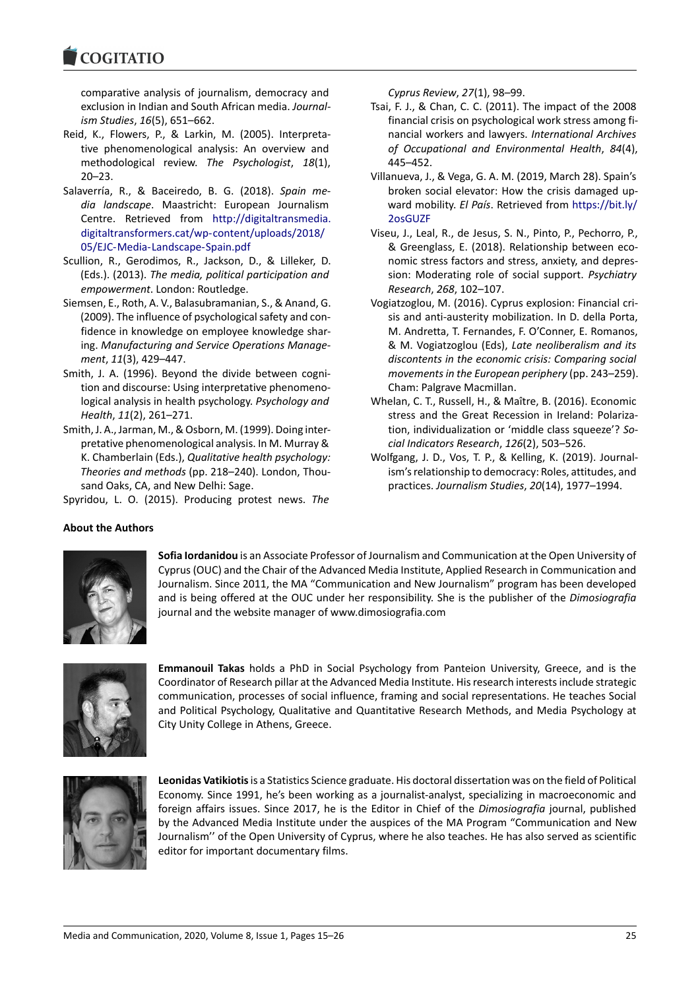**COGITATIO** 

comparative analysis of journalism, democracy and exclusion in Indian and South African media. *Journalism Studies*, *16*(5), 651–662.

- Reid, K., Flowers, P., & Larkin, M. (2005). Interpretative phenomenological analysis: An overview and methodological review. *The Psychologist*, *18*(1), 20–23.
- Salaverría, R., & Baceiredo, B. G. (2018). *Spain media landscape*. Maastricht: European Journalism Centre. Retrieved from [http://digitaltransmedia.](http://digitaltransmedia.digitaltransformers.cat/wp-content/uploads/2018/05/EJC-Media-Landscape-Spain.pdf) [digitaltransformers.cat/wp-content/uploads/2018/](http://digitaltransmedia.digitaltransformers.cat/wp-content/uploads/2018/05/EJC-Media-Landscape-Spain.pdf) [05/EJC-Media-Landscape-Spain.pdf](http://digitaltransmedia.digitaltransformers.cat/wp-content/uploads/2018/05/EJC-Media-Landscape-Spain.pdf)
- Scullion, R., Gerodimos, R., Jackson, D., & Lilleker, D. (Eds.). (2013). *The media, political participation and empowerment*. London: Routledge.
- Siemsen, E., Roth, A. V., Balasubramanian, S., & Anand, G. (2009). The influence of psychological safety and confidence in knowledge on employee knowledge sharing. *Manufacturing and Service Operations Management*, *11*(3), 429–447.
- Smith, J. A. (1996). Beyond the divide between cognition and discourse: Using interpretative phenomenological analysis in health psychology. *Psychology and Health*, *11*(2), 261–271.
- Smith, J. A., Jarman, M., & Osborn, M. (1999). Doing interpretative phenomenological analysis. In M. Murray & K. Chamberlain (Eds.), *Qualitative health psychology: Theories and methods* (pp. 218–240). London, Thousand Oaks, CA, and New Delhi: Sage.

Spyridou, L. O. (2015). Producing protest news. *The*

*Cyprus Review*, *27*(1), 98–99.

- Tsai, F. J., & Chan, C. C. (2011). The impact of the 2008 financial crisis on psychological work stress among financial workers and lawyers. *International Archives of Occupational and Environmental Health*, *84*(4), 445–452.
- Villanueva, J., & Vega, G. A. M. (2019, March 28). Spain's broken social elevator: How the crisis damaged upward mobility. *El País*. Retrieved from [https://bit.ly/](https://bit.ly/2osGUZF) [2osGUZF](https://bit.ly/2osGUZF)
- Viseu, J., Leal, R., de Jesus, S. N., Pinto, P., Pechorro, P., & Greenglass, E. (2018). Relationship between economic stress factors and stress, anxiety, and depression: Moderating role of social support. *Psychiatry Research*, *268*, 102–107.
- Vogiatzoglou, M. (2016). Cyprus explosion: Financial crisis and anti-austerity mobilization. In D. della Porta, M. Andretta, T. Fernandes, F. O'Conner, E. Romanos, & M. Vogiatzoglou (Eds), *Late neoliberalism and its discontents in the economic crisis: Comparing social movements in the European periphery* (pp. 243–259). Cham: Palgrave Macmillan.
- Whelan, C. T., Russell, H., & Maître, B. (2016). Economic stress and the Great Recession in Ireland: Polarization, individualization or 'middle class squeeze'? *Social Indicators Research*, *126*(2), 503–526.
- Wolfgang, J. D., Vos, T. P., & Kelling, K. (2019). Journalism's relationship to democracy: Roles, attitudes, and practices. *Journalism Studies*, *20*(14), 1977–1994.

# **About the Authors**



**Sofia Iordanidou** is an Associate Professor of Journalism and Communication at the Open University of Cyprus (OUC) and the Chair of the Advanced Media Institute, Applied Research in Communication and Journalism. Since 2011, the MA "Communication and New Journalism" program has been developed and is being offered at the OUC under her responsibility. She is the publisher of the *Dimosiografia* journal and the website manager of www.dimosiografia.com



**Emmanouil Takas** holds a PhD in Social Psychology from Panteion University, Greece, and is the Coordinator of Research pillar at the Advanced Media Institute. His research interests include strategic communication, processes of social influence, framing and social representations. He teaches Social and Political Psychology, Qualitative and Quantitative Research Methods, and Media Psychology at City Unity College in Athens, Greece.



**Leonidas Vatikiotis**is a Statistics Science graduate. His doctoral dissertation was on the field of Political Economy. Since 1991, he's been working as a journalist-analyst, specializing in macroeconomic and foreign affairs issues. Since 2017, he is the Editor in Chief of the *Dimosiografia* journal, published by the Advanced Media Institute under the auspices of the MA Program "Communication and New Journalism'' of the Open University of Cyprus, where he also teaches. He has also served as scientific editor for important documentary films.